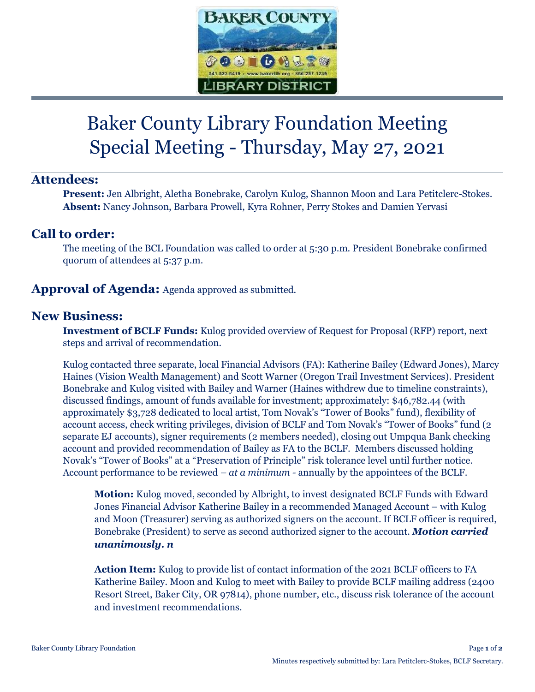

# Baker County Library Foundation Meeting Special Meeting - Thursday, May 27, 2021

## **Attendees:**

**Present:** Jen Albright, Aletha Bonebrake, Carolyn Kulog, Shannon Moon and Lara Petitclerc-Stokes. **Absent:** Nancy Johnson, Barbara Prowell, Kyra Rohner, Perry Stokes and Damien Yervasi

## **Call to order:**

The meeting of the BCL Foundation was called to order at 5:30 p.m. President Bonebrake confirmed quorum of attendees at 5:37 p.m.

#### **Approval of Agenda:** Agenda approved as submitted.

#### **New Business:**

**Investment of BCLF Funds:** Kulog provided overview of Request for Proposal (RFP) report, next steps and arrival of recommendation.

Kulog contacted three separate, local Financial Advisors (FA): Katherine Bailey (Edward Jones), Marcy Haines (Vision Wealth Management) and Scott Warner (Oregon Trail Investment Services). President Bonebrake and Kulog visited with Bailey and Warner (Haines withdrew due to timeline constraints), discussed findings, amount of funds available for investment; approximately: \$46,782.44 (with approximately \$3,728 dedicated to local artist, Tom Novak's "Tower of Books" fund), flexibility of account access, check writing privileges, division of BCLF and Tom Novak's "Tower of Books" fund (2 separate EJ accounts), signer requirements (2 members needed), closing out Umpqua Bank checking account and provided recommendation of Bailey as FA to the BCLF. Members discussed holding Novak's "Tower of Books" at a "Preservation of Principle" risk tolerance level until further notice. Account performance to be reviewed *– at a minimum -* annually by the appointees of the BCLF.

**Motion:** Kulog moved, seconded by Albright, to invest designated BCLF Funds with Edward Jones Financial Advisor Katherine Bailey in a recommended Managed Account – with Kulog and Moon (Treasurer) serving as authorized signers on the account. If BCLF officer is required, Bonebrake (President) to serve as second authorized signer to the account. *Motion carried unanimously. n*

**Action Item:** Kulog to provide list of contact information of the 2021 BCLF officers to FA Katherine Bailey. Moon and Kulog to meet with Bailey to provide BCLF mailing address (2400 Resort Street, Baker City, OR 97814), phone number, etc., discuss risk tolerance of the account and investment recommendations.